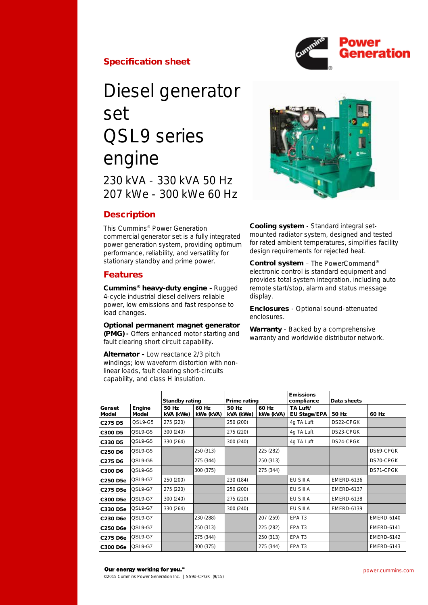

## Specification sheet

# Diesel generator set QSL9 series engine 230 kVA - 330 kVA 50 Hz 207 kWe - 300 kWe 60 Hz

## **Description**

This Cummins® Power Generation commercial generator set is a fully integrated power generation system, providing optimum performance, reliability, and versatility for stationary standby and prime power.

## Features

Cummins® heavy-duty engine - Rugged 4-cycle industrial diesel delivers reliable power, low emissions and fast response to load changes.

## Optional permanent magnet generator

(PMG) - Offers enhanced motor starting and fault clearing short circuit capability.

Alternator - Low reactance 2/3 pitch windings; low waveform distortion with nonlinear loads, fault clearing short-circuits capability, and class H insulation.



Cooling system - Standard integral setmounted radiator system, designed and tested for rated ambient temperatures, simplifies facility design requirements for rejected heat.

Control system – The PowerCommand® electronic control is standard equipment and provides total system integration, including auto remote start/stop, alarm and status message display.

Enclosures - Optional sound-attenuated enclosures.

Warranty - Backed by a comprehensive warranty and worldwide distributor network.

|                                 |                 | <b>Standby rating</b> |                    | Prime rating       |                    | <b>Emissions</b><br>compliance  | Data sheets       |                   |
|---------------------------------|-----------------|-----------------------|--------------------|--------------------|--------------------|---------------------------------|-------------------|-------------------|
| Genset<br>Model                 | Engine<br>Model | 50 Hz<br>kVA (kWe)    | 60 Hz<br>kWe (kVA) | 50 Hz<br>kVA (kWe) | 60 Hz<br>kWe (kVA) | TA Luft/<br><b>EU Stage/EPA</b> | 50 Hz             | 60 Hz             |
| C <sub>275</sub> D <sub>5</sub> | QSL9-G5         | 275 (220)             |                    | 250 (200)          |                    | 4g TA Luft                      | DS22-CPGK         |                   |
| C300 D5                         | QSL9-G5         | 300 (240)             |                    | 275 (220)          |                    | 4g TA Luft                      | DS23-CPGK         |                   |
| C330 D5                         | QSL9-G5         | 330 (264)             |                    | 300 (240)          |                    | 4g TA Luft                      | DS24-CPGK         |                   |
| C <sub>250</sub> D <sub>6</sub> | QSL9-G5         |                       | 250 (313)          |                    | 225 (282)          |                                 |                   | DS69-CPGK         |
| C275 D6                         | QSL9-G5         |                       | 275 (344)          |                    | 250 (313)          |                                 |                   | DS70-CPGK         |
| C300 D6                         | QSL9-G5         |                       | 300 (375)          |                    | 275 (344)          |                                 |                   | DS71-CPGK         |
| C250 D5e                        | QSL9-G7         | 250 (200)             |                    | 230 (184)          |                    | EU SIII A                       | <b>EMERD-6136</b> |                   |
| C275 D5e                        | QSL9-G7         | 275 (220)             |                    | 250 (200)          |                    | EU SIII A                       | <b>EMERD-6137</b> |                   |
| C300 D5e                        | QSL9-G7         | 300 (240)             |                    | 275 (220)          |                    | EU SIII A                       | <b>EMERD-6138</b> |                   |
| C330 D5e                        | QSL9-G7         | 330 (264)             |                    | 300 (240)          |                    | EU SIII A                       | <b>EMERD-6139</b> |                   |
| C230 D6e                        | QSL9-G7         |                       | 230 (288)          |                    | 207 (259)          | EPA T <sub>3</sub>              |                   | <b>EMERD-6140</b> |
| C250 D6e                        | QSL9-G7         |                       | 250 (313)          |                    | 225 (282)          | EPA T <sub>3</sub>              |                   | <b>EMERD-6141</b> |
| C275 D6e                        | QSL9-G7         |                       | 275 (344)          |                    | 250 (313)          | EPA T <sub>3</sub>              |                   | <b>EMERD-6142</b> |
| C300 D6e                        | QSL9-G7         |                       | 300 (375)          |                    | 275 (344)          | EPA T <sub>3</sub>              |                   | <b>EMERD-6143</b> |

#### Our energy working for you.™

©2015 Cummins Power Generation Inc. | SS9d-CPGK (9/15)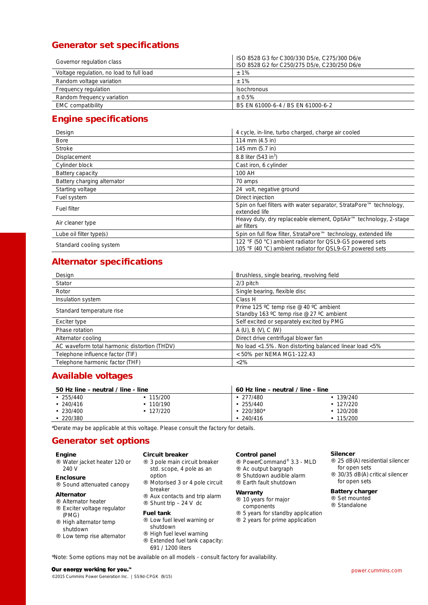## Generator set specifications

| Governor regulation class                | ISO 8528 G3 for C300/330 D5/e, C275/300 D6/e<br>ISO 8528 G2 for C250/275 D5/e, C230/250 D6/e |  |  |  |
|------------------------------------------|----------------------------------------------------------------------------------------------|--|--|--|
| Voltage regulation, no load to full load | $±1\%$                                                                                       |  |  |  |
| Random voltage variation                 | $+1\%$                                                                                       |  |  |  |
| Frequency regulation                     | <b>Isochronous</b>                                                                           |  |  |  |
| Random frequency variation               | $+0.5%$                                                                                      |  |  |  |
| <b>EMC</b> compatibility                 | BS EN 61000-6-4 / BS EN 61000-6-2                                                            |  |  |  |

## Engine specifications

| Design                      | 4 cycle, in-line, turbo charged, charge air cooled                                                                   |  |  |  |
|-----------------------------|----------------------------------------------------------------------------------------------------------------------|--|--|--|
| <b>Bore</b>                 | 114 mm (4.5 in)                                                                                                      |  |  |  |
| Stroke                      | 145 mm (5.7 in)                                                                                                      |  |  |  |
| Displacement                | 8.8 liter (543 in <sup>3</sup> )                                                                                     |  |  |  |
| Cylinder block              | Cast iron, 6 cylinder                                                                                                |  |  |  |
| Battery capacity            | 100 AH                                                                                                               |  |  |  |
| Battery charging alternator | 70 amps                                                                                                              |  |  |  |
| Starting voltage            | 24 volt, negative ground                                                                                             |  |  |  |
| Fuel system                 | Direct injection                                                                                                     |  |  |  |
| Fuel filter                 | Spin on fuel filters with water separator, StrataPore™ technology,<br>extended life                                  |  |  |  |
| Air cleaner type            | Heavy duty, dry replaceable element, OptiAir™ technology, 2-stage<br>air filters                                     |  |  |  |
| Lube oil filter type(s)     | Spin on full flow filter, StrataPore™ technology, extended life                                                      |  |  |  |
| Standard cooling system     | 122 °F (50 °C) ambient radiator for QSL9-G5 powered sets<br>105 °F (40 °C) ambient radiator for QSL9-G7 powered sets |  |  |  |

## Alternator specifications

| Design                                       | Brushless, single bearing, revolving field                                         |  |  |
|----------------------------------------------|------------------------------------------------------------------------------------|--|--|
| Stator                                       | $2/3$ pitch                                                                        |  |  |
| Rotor                                        | Single bearing, flexible disc                                                      |  |  |
| Insulation system                            | Class H                                                                            |  |  |
| Standard temperature rise                    | Prime 125 °C temp rise @ 40 °C ambient<br>Standby 163 °C temp rise @ 27 °C ambient |  |  |
| Exciter type                                 | Self excited or separately excited by PMG                                          |  |  |
| Phase rotation                               | A(U), B(V), C(W)                                                                   |  |  |
| Alternator cooling                           | Direct drive centrifugal blower fan                                                |  |  |
| AC waveform total harmonic distortion (THDV) | No load <1.5%. Non distorting balanced linear load <5%                             |  |  |
| Telephone influence factor (TIF)             | < 50% per NEMA MG1-122.43                                                          |  |  |
| Telephone harmonic factor (THF)              | $<2\%$                                                                             |  |  |

## Available voltages

| 50 Hz line - neutral / line - line |         |             | 60 Hz line - neutral / line - line |  |  |  |
|------------------------------------|---------|-------------|------------------------------------|--|--|--|
| 255/440                            | 115/200 | .277/480    | 139/240                            |  |  |  |
| 240/416                            | 110/190 | $-255/440$  | 127/220                            |  |  |  |
| 230/400                            | 127/220 | $.220/380*$ | 120/208                            |  |  |  |
| 220/380                            |         | 240/416     | 115/200                            |  |  |  |

\*Derate may be applicable at this voltage. Please consult the factory for details.

## Generator set options

#### Engine

- Water jacket heater 120 or 240 V
- Enclosure Sound attenuated canopy
- 

## Alternator

- ¨ Alternator heater ¨ Exciter voltage regulator (PMG)
- ¨ High alternator temp shutdown
- ¨ Low temp rise alternator

## Circuit breaker

- ¨ 3 pole main circuit breaker std. scope, 4 pole as an option
- ¨ Motorised 3 or 4 pole circuit
- breaker ¨ Aux contacts and trip alarm
- $\therefore$  Shunt trip 24 V dc

#### Fuel tank

- ¨ Low fuel level warning or shutdown
- ¨ High fuel level warning
- ¨ Extended fuel tank capacity: 691 / 1200 liters

## Control panel

- ¨ PowerCommand® 3.3 MLD
- ¨ Ac output bargraph
- ¨ Shutdown audible alarm ¨ Earth fault shutdown
- 

## **Warranty**

- ¨ 10 years for major components
- ¨ 5 years for standby application
- ¨ 2 years for prime application

### Silencer

- 
- ¨ 25 dB(A) residential silencer for open sets
- ¨ 30/35 dB(A) critical silencer for open sets

## Battery charger

¨ Set mounted ¨ Standalone

\*Note: Some options may not be available on all models - consult factory for availability.

#### Our energy working for you."

©2015 Cummins Power Generation Inc. | SS9d-CPGK (9/15)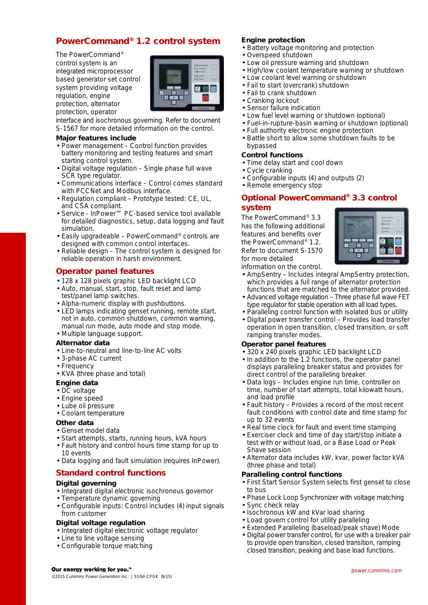## PowerCommand® 1.2 control system

The PowerCommand® control system is an integrated microprocessor based generator set control system providing voltage regulation, engine protection, alternator protection, operator



interface and isochronous governing. Refer to document S-1567 for more detailed information on the control.

### Major features include

- Power management Control function provides battery monitoring and testing features and smart starting control system.
- Digital voltage regulation Single phase full wave SCR type regulator.
- Communications interface Control comes standard with PCCNet and Modbus interface.
- Regulation compliant Prototype tested: CE, UL, and CSA compliant.
- Service InPower™ PC-based service tool available for detailed diagnostics, setup, data logging and fault simulation.
- Easily upgradeable PowerCommand® controls are designed with common control interfaces.
- Reliable design The control system is designed for reliable operation in harsh environment.

## Operator panel features

- 128 x 128 pixels graphic LED backlight LCD
- Auto, manual, start, stop, fault reset and lamp test/panel lamp switches.
- Alpha-numeric display with pushbuttons.
- LED lamps indicating genset running, remote start, not in auto, common shutdown, common warning, manual run mode, auto mode and stop mode.

## Multiple language support.

- Alternator data
- Line-to-neutral and line-to-line AC volts
- 3-phase AC current
- Frequency
- KVA (three phase and total)

## Engine data

- DC voltage
- Engine speed
- Lube oil pressure
- Coolant temperature

## Other data

- Genset model data
- Start attempts, starts, running hours, kVA hours
- Fault history and control hours time stamp for up to 10 events
- Data logging and fault simulation (requires InPower).

## Standard control functions

## Digital governing

- Integrated digital electronic isochronous governor
- Temperature dynamic governing
- Configurable inputs: Control includes (4) input signals from customer

## Digital voltage regulation

- Integrated digital electronic voltage regulator
- Line to line voltage sensing
- Configurable torque matching

## Engine protection

- Battery voltage monitoring and protection
	- Overspeed shutdown
	- Low oil pressure warning and shutdown
	- High/low coolant temperature warning or shutdown
- Low coolant level warning or shutdown
- Fail to start (overcrank) shutdown
- Fail to crank shutdown
- Cranking lockout
- Sensor failure indication
- Low fuel level warning or shutdown (optional)
- Fuel-in-rupture-basin warning or shutdown (optional)
- Full authority electronic engine protection
- Battle short to allow some shutdown faults to be bypassed

## Control functions

- Time delay start and cool down
- Cycle cranking
- Configurable inputs (4) and outputs (2)
- Remote emergency stop

## Optional PowerCommand® 3.3 control

## system

The PowerCommand® 3.3 has the following additional features and benefits over the PowerCommand® 1.2. Refer to document S-1570 for more detailed



information on the control.

- AmpSentry Includes integral AmpSentry protection, which provides a full range of alternator protection functions that are matched to the alternator provided.
- Advanced voltage regulation Three phase full wave FET type regulator for stable operation with all load types.
- Paralleling control function with isolated bus or utility Digital power transfer control – Provides load transfer
- operation in open transition, closed transition, or soft ramping transfer modes.

## Operator panel features

- 320 x 240 pixels graphic LED backlight LCD
- In addition to the 1.2 functions, the operator panel displays paralleling breaker status and provides for direct control of the paralleling breaker.
- Data logs Includes engine run time, controller on time, number of start attempts, total kilowatt hours, and load profile
- Fault history Provides a record of the most recent fault conditions with control date and time stamp for up to 32 events
- Real time clock for fault and event time stamping
- Exerciser clock and time of day start/stop initiate a test with or without load, or a Base Load or Peak Shave session
- Alternator data includes kW, kvar, power factor kVA (three phase and total)

## Paralleling control functions

- First Start Sensor System selects first genset to close to bus
- Phase Lock Loop Synchronizer with voltage matching Sync check relay
- Isochronous kW and kVar load sharing
- Load govern control for utility paralleling
- Extended Paralleling (baseload/peak shave) Mode
- Digital power transfer control, for use with a breaker pair to provide open transition, closed transition, ramping closed transition, peaking and base load functions.

#### Our energy working for you.<sup>™</sup>

©2015 Cummins Power Generation Inc. | SS9d-CPGK (9/15)